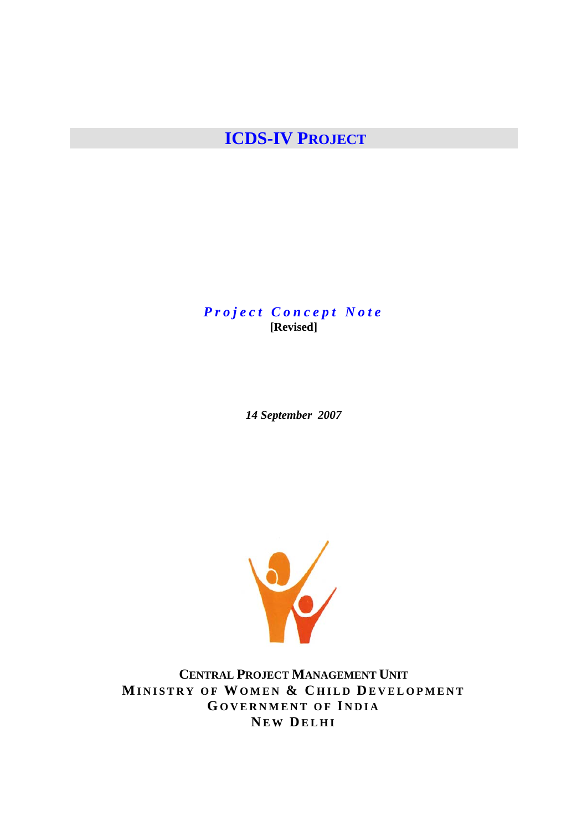# **ICDS-IV PROJECT**

*Project Concept Note*  **[Revised]** 

*14 September 2007* 



**CENTRAL PROJECT MANAGEMENT UNIT MINISTRY OF WOMEN & CHILD DEVELOPMENT GOVERNMENT OF I NDIA NEW DELHI**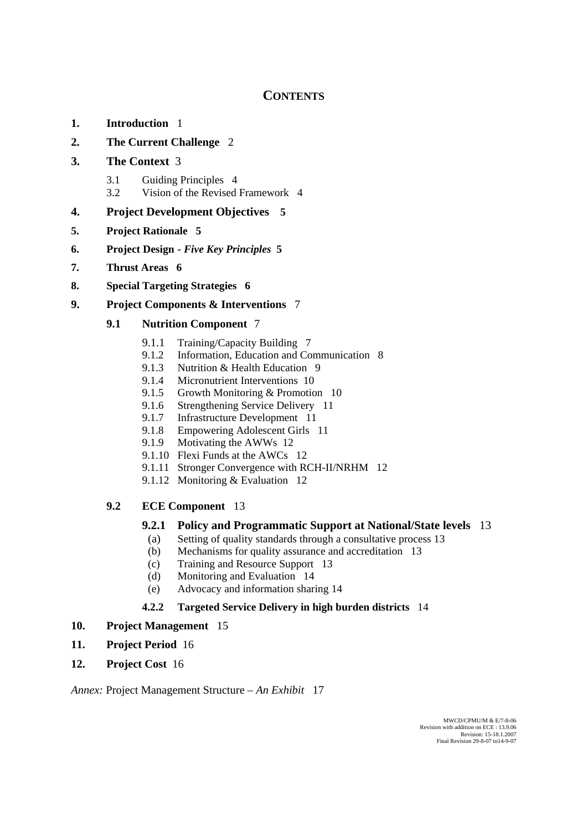# **CONTENTS**

- **1. Introduction** 1
- **2. The Current Challenge** 2
- **3. The Context** 3
	- 3.1 Guiding Principles 4
	- 3.2 Vision of the Revised Framework 4

## **4. Project Development Objectives 5**

- **5. Project Rationale 5**
- **6. Project Design** *Five Key Principles* **5**
- **7. Thrust Areas 6**
- **8. Special Targeting Strategies 6**
- **9. Project Components & Interventions** 7

## **9.1 Nutrition Component** 7

- 9.1.1 Training/Capacity Building 7
- 9.1.2 Information, Education and Communication 8
- 9.1.3 Nutrition & Health Education 9
- 9.1.4 Micronutrient Interventions 10
- 9.1.5 Growth Monitoring & Promotion 10
- 9.1.6 Strengthening Service Delivery 11
- 9.1.7 Infrastructure Development 11
- 9.1.8 Empowering Adolescent Girls 11
- 9.1.9 Motivating the AWWs 12
- 9.1.10 Flexi Funds at the AWCs 12
- 9.1.11 Stronger Convergence with RCH-II/NRHM 12
- 9.1.12 Monitoring & Evaluation 12

## **9.2 ECE Component** 13

## **9.2.1 Policy and Programmatic Support at National/State levels** 13

- (a) Setting of quality standards through a consultative process 13
- (b) Mechanisms for quality assurance and accreditation 13
- (c) Training and Resource Support 13
- (d) Monitoring and Evaluation 14
- (e) Advocacy and information sharing 14

## **4.2.2 Targeted Service Delivery in high burden districts** 14

## **10. Project Management** 15

- **11. Project Period** 16
- **12. Project Cost** 16

*Annex:* Project Management Structure – *An Exhibit* 17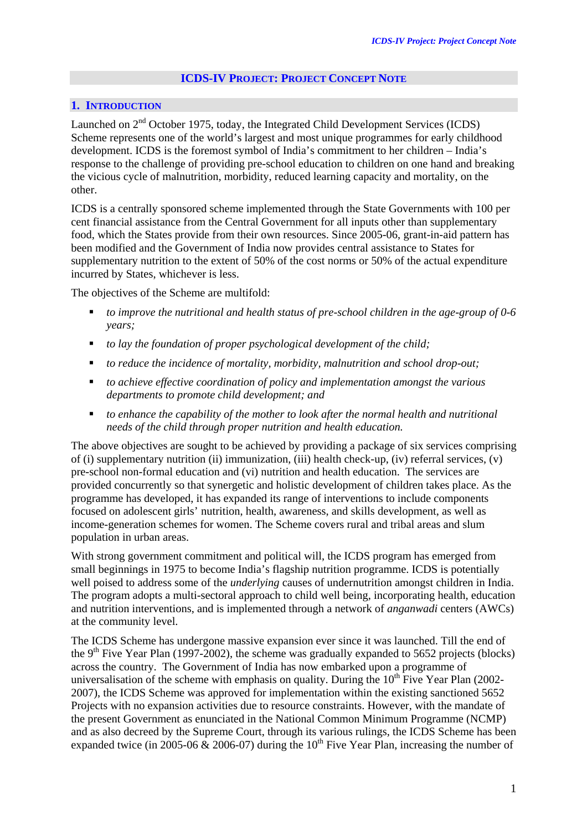## **ICDS-IV PROJECT: PROJECT CONCEPT NOTE**

## **1. INTRODUCTION**

Launched on 2<sup>nd</sup> October 1975, today, the Integrated Child Development Services (ICDS) Scheme represents one of the world's largest and most unique programmes for early childhood development. ICDS is the foremost symbol of India's commitment to her children – India's response to the challenge of providing pre-school education to children on one hand and breaking the vicious cycle of malnutrition, morbidity, reduced learning capacity and mortality, on the other.

ICDS is a centrally sponsored scheme implemented through the State Governments with 100 per cent financial assistance from the Central Government for all inputs other than supplementary food, which the States provide from their own resources. Since 2005-06, grant-in-aid pattern has been modified and the Government of India now provides central assistance to States for supplementary nutrition to the extent of 50% of the cost norms or 50% of the actual expenditure incurred by States, whichever is less.

The objectives of the Scheme are multifold:

- *to improve the nutritional and health status of pre-school children in the age-group of 0-6 years;*
- *to lay the foundation of proper psychological development of the child;*
- *to reduce the incidence of mortality, morbidity, malnutrition and school drop-out;*
- *to achieve effective coordination of policy and implementation amongst the various departments to promote child development; and*
- *to enhance the capability of the mother to look after the normal health and nutritional needs of the child through proper nutrition and health education.*

The above objectives are sought to be achieved by providing a package of six services comprising of (i) supplementary nutrition (ii) immunization, (iii) health check-up, (iv) referral services, (v) pre-school non-formal education and (vi) nutrition and health education. The services are provided concurrently so that synergetic and holistic development of children takes place. As the programme has developed, it has expanded its range of interventions to include components focused on adolescent girls' nutrition, health, awareness, and skills development, as well as income-generation schemes for women. The Scheme covers rural and tribal areas and slum population in urban areas.

With strong government commitment and political will, the ICDS program has emerged from small beginnings in 1975 to become India's flagship nutrition programme. ICDS is potentially well poised to address some of the *underlying* causes of undernutrition amongst children in India. The program adopts a multi-sectoral approach to child well being, incorporating health, education and nutrition interventions, and is implemented through a network of *anganwadi* centers (AWCs) at the community level.

The ICDS Scheme has undergone massive expansion ever since it was launched. Till the end of the 9<sup>th</sup> Five Year Plan (1997-2002), the scheme was gradually expanded to 5652 projects (blocks) across the country. The Government of India has now embarked upon a programme of universalisation of the scheme with emphasis on quality. During the  $10<sup>th</sup>$  Five Year Plan (2002-2007), the ICDS Scheme was approved for implementation within the existing sanctioned 5652 Projects with no expansion activities due to resource constraints. However, with the mandate of the present Government as enunciated in the National Common Minimum Programme (NCMP) and as also decreed by the Supreme Court, through its various rulings, the ICDS Scheme has been expanded twice (in 2005-06  $\&$  2006-07) during the 10<sup>th</sup> Five Year Plan, increasing the number of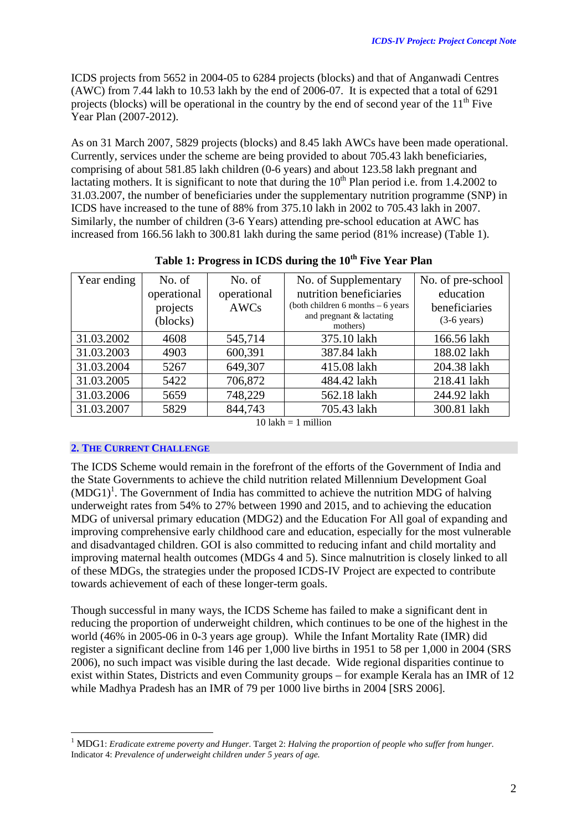ICDS projects from 5652 in 2004-05 to 6284 projects (blocks) and that of Anganwadi Centres (AWC) from 7.44 lakh to 10.53 lakh by the end of 2006-07. It is expected that a total of 6291 projects (blocks) will be operational in the country by the end of second year of the  $11<sup>th</sup>$  Five Year Plan (2007-2012).

As on 31 March 2007, 5829 projects (blocks) and 8.45 lakh AWCs have been made operational. Currently, services under the scheme are being provided to about 705.43 lakh beneficiaries, comprising of about 581.85 lakh children (0-6 years) and about 123.58 lakh pregnant and lactating mothers. It is significant to note that during the  $10<sup>th</sup>$  Plan period i.e. from 1.4.2002 to 31.03.2007, the number of beneficiaries under the supplementary nutrition programme (SNP) in ICDS have increased to the tune of 88% from 375.10 lakh in 2002 to 705.43 lakh in 2007. Similarly, the number of children (3-6 Years) attending pre-school education at AWC has increased from 166.56 lakh to 300.81 lakh during the same period (81% increase) (Table 1).

| Year ending         | No. of      | No. of      | No. of Supplementary                 | No. of pre-school     |  |  |  |
|---------------------|-------------|-------------|--------------------------------------|-----------------------|--|--|--|
|                     | operational | operational | nutrition beneficiaries              | education             |  |  |  |
|                     | projects    | AWCs        | (both children 6 months $-6$ years   | beneficiaries         |  |  |  |
|                     | (blocks)    |             | and pregnant & lactating<br>mothers) | $(3-6 \text{ years})$ |  |  |  |
| 31.03.2002          | 4608        | 545,714     | 375.10 lakh                          | 166.56 lakh           |  |  |  |
| 31.03.2003          | 4903        | 600,391     | 387.84 lakh                          | 188.02 lakh           |  |  |  |
| 31.03.2004          | 5267        | 649,307     | 415.08 lakh                          | 204.38 lakh           |  |  |  |
| 31.03.2005          | 5422        | 706,872     | 484.42 lakh                          | 218.41 lakh           |  |  |  |
| 31.03.2006          | 5659        | 748,229     | 562.18 lakh                          | 244.92 lakh           |  |  |  |
| 31.03.2007          | 5829        | 844,743     | 705.43 lakh                          | 300.81 lakh           |  |  |  |
| <b>AO 1 1 1</b><br> |             |             |                                      |                       |  |  |  |

| Table 1: Progress in ICDS during the 10 <sup>th</sup> Five Year Plan |  |  |
|----------------------------------------------------------------------|--|--|
|                                                                      |  |  |

 $10$  lakh  $= 1$  million

#### **2. THE CURRENT CHALLENGE**

 $\overline{a}$ 

The ICDS Scheme would remain in the forefront of the efforts of the Government of India and the State Governments to achieve the child nutrition related Millennium Development Goal  $(MDG1)^1$ [.](#page-3-0) The Government of India has committed to achieve the nutrition MDG of halving underweight rates from 54% to 27% between 1990 and 2015, and to achieving the education MDG of universal primary education (MDG2) and the Education For All goal of expanding and improving comprehensive early childhood care and education, especially for the most vulnerable and disadvantaged children. GOI is also committed to reducing infant and child mortality and improving maternal health outcomes (MDGs 4 and 5). Since malnutrition is closely linked to all of these MDGs, the strategies under the proposed ICDS-IV Project are expected to contribute towards achievement of each of these longer-term goals.

Though successful in many ways, the ICDS Scheme has failed to make a significant dent in reducing the proportion of underweight children, which continues to be one of the highest in the world (46% in 2005-06 in 0-3 years age group). While the Infant Mortality Rate (IMR) did register a significant decline from 146 per 1,000 live births in 1951 to 58 per 1,000 in 2004 (SRS 2006), no such impact was visible during the last decade. Wide regional disparities continue to exist within States, Districts and even Community groups – for example Kerala has an IMR of 12 while Madhya Pradesh has an IMR of 79 per 1000 live births in 2004 [SRS 2006].

<span id="page-3-0"></span><sup>&</sup>lt;sup>1</sup> MDG1: *Eradicate extreme poverty and Hunger*. Target 2: *Halving the proportion of people who suffer from hunger*. Indicator 4: *Prevalence of underweight children under 5 years of age.*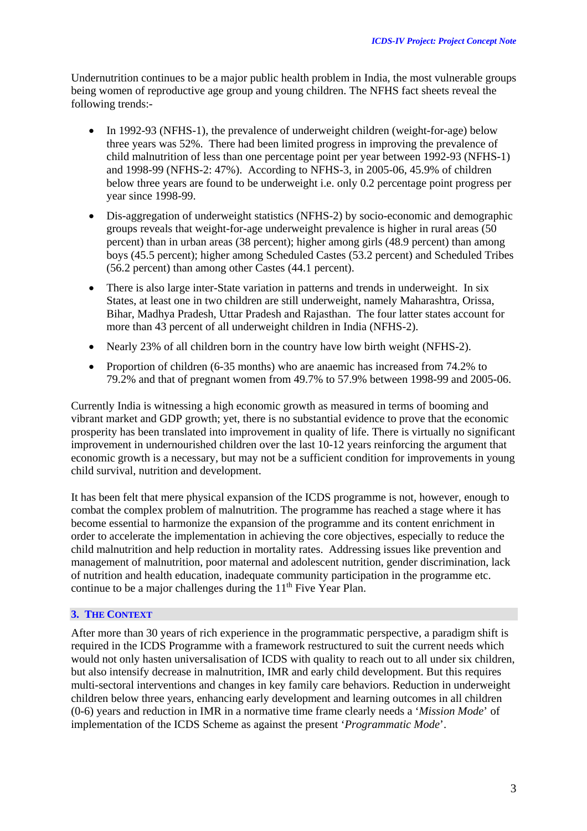Undernutrition continues to be a major public health problem in India, the most vulnerable groups being women of reproductive age group and young children. The NFHS fact sheets reveal the following trends:-

- In 1992-93 (NFHS-1), the prevalence of underweight children (weight-for-age) below three years was 52%. There had been limited progress in improving the prevalence of child malnutrition of less than one percentage point per year between 1992-93 (NFHS-1) and 1998-99 (NFHS-2: 47%). According to NFHS-3, in 2005-06, 45.9% of children below three years are found to be underweight i.e. only 0.2 percentage point progress per year since 1998-99.
- Dis-aggregation of underweight statistics (NFHS-2) by socio-economic and demographic groups reveals that weight-for-age underweight prevalence is higher in rural areas (50 percent) than in urban areas (38 percent); higher among girls (48.9 percent) than among boys (45.5 percent); higher among Scheduled Castes (53.2 percent) and Scheduled Tribes (56.2 percent) than among other Castes (44.1 percent).
- There is also large inter-State variation in patterns and trends in underweight. In six States, at least one in two children are still underweight, namely Maharashtra, Orissa, Bihar, Madhya Pradesh, Uttar Pradesh and Rajasthan. The four latter states account for more than 43 percent of all underweight children in India (NFHS-2).
- Nearly 23% of all children born in the country have low birth weight (NFHS-2).
- Proportion of children (6-35 months) who are anaemic has increased from 74.2% to 79.2% and that of pregnant women from 49.7% to 57.9% between 1998-99 and 2005-06.

Currently India is witnessing a high economic growth as measured in terms of booming and vibrant market and GDP growth; yet, there is no substantial evidence to prove that the economic prosperity has been translated into improvement in quality of life. There is virtually no significant improvement in undernourished children over the last 10-12 years reinforcing the argument that economic growth is a necessary, but may not be a sufficient condition for improvements in young child survival, nutrition and development.

It has been felt that mere physical expansion of the ICDS programme is not, however, enough to combat the complex problem of malnutrition. The programme has reached a stage where it has become essential to harmonize the expansion of the programme and its content enrichment in order to accelerate the implementation in achieving the core objectives, especially to reduce the child malnutrition and help reduction in mortality rates. Addressing issues like prevention and management of malnutrition, poor maternal and adolescent nutrition, gender discrimination, lack of nutrition and health education, inadequate community participation in the programme etc. continue to be a major challenges during the  $11<sup>th</sup>$  Five Year Plan.

#### **3. THE CONTEXT**

After more than 30 years of rich experience in the programmatic perspective, a paradigm shift is required in the ICDS Programme with a framework restructured to suit the current needs which would not only hasten universalisation of ICDS with quality to reach out to all under six children, but also intensify decrease in malnutrition, IMR and early child development. But this requires multi-sectoral interventions and changes in key family care behaviors. Reduction in underweight children below three years, enhancing early development and learning outcomes in all children (0-6) years and reduction in IMR in a normative time frame clearly needs a '*Mission Mode*' of implementation of the ICDS Scheme as against the present '*Programmatic Mode*'.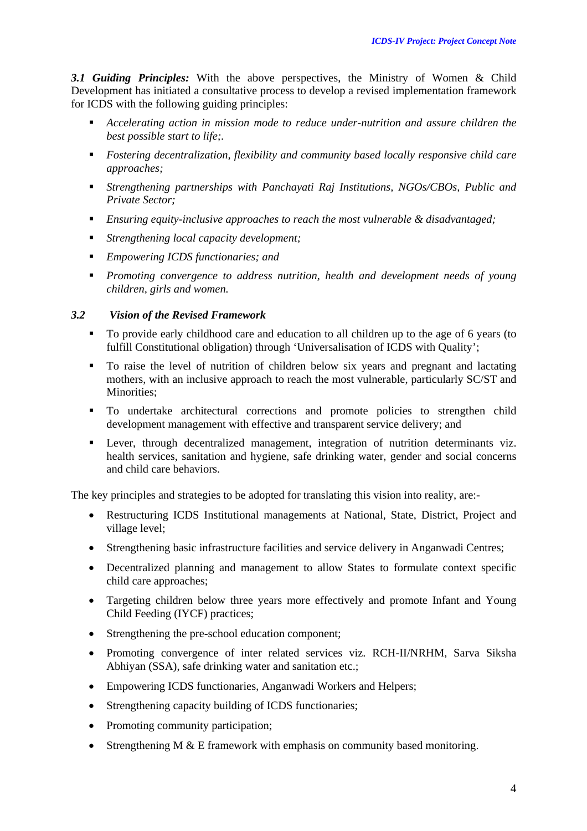*3.1 Guiding Principles:* With the above perspectives, the Ministry of Women & Child Development has initiated a consultative process to develop a revised implementation framework for ICDS with the following guiding principles:

- *Accelerating action in mission mode to reduce under-nutrition and assure children the best possible start to life;.*
- *Fostering decentralization, flexibility and community based locally responsive child care approaches;*
- *Strengthening partnerships with Panchayati Raj Institutions, NGOs/CBOs, Public and Private Sector;*
- *Ensuring equity-inclusive approaches to reach the most vulnerable & disadvantaged;*
- *Strengthening local capacity development;*
- *Empowering ICDS functionaries; and*
- *Promoting convergence to address nutrition, health and development needs of young children, girls and women.*

## *3.2 Vision of the Revised Framework*

- To provide early childhood care and education to all children up to the age of 6 years (to fulfill Constitutional obligation) through 'Universalisation of ICDS with Quality';
- To raise the level of nutrition of children below six years and pregnant and lactating mothers, with an inclusive approach to reach the most vulnerable, particularly SC/ST and Minorities;
- To undertake architectural corrections and promote policies to strengthen child development management with effective and transparent service delivery; and
- **Lever, through decentralized management, integration of nutrition determinants viz.** health services, sanitation and hygiene, safe drinking water, gender and social concerns and child care behaviors.

The key principles and strategies to be adopted for translating this vision into reality, are:-

- Restructuring ICDS Institutional managements at National, State, District, Project and village level;
- Strengthening basic infrastructure facilities and service delivery in Anganwadi Centres;
- Decentralized planning and management to allow States to formulate context specific child care approaches;
- Targeting children below three years more effectively and promote Infant and Young Child Feeding (IYCF) practices;
- Strengthening the pre-school education component;
- Promoting convergence of inter related services viz. RCH-II/NRHM, Sarva Siksha Abhiyan (SSA), safe drinking water and sanitation etc.:
- Empowering ICDS functionaries, Anganwadi Workers and Helpers;
- Strengthening capacity building of ICDS functionaries;
- Promoting community participation;
- Strengthening M  $&$  E framework with emphasis on community based monitoring.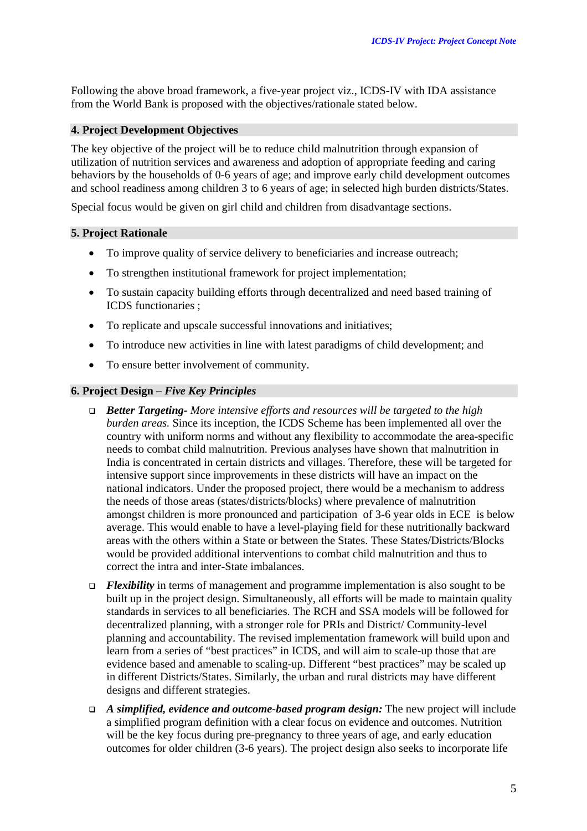Following the above broad framework, a five-year project viz., ICDS-IV with IDA assistance from the World Bank is proposed with the objectives/rationale stated below.

#### **4. Project Development Objectives**

The key objective of the project will be to reduce child malnutrition through expansion of utilization of nutrition services and awareness and adoption of appropriate feeding and caring behaviors by the households of 0-6 years of age; and improve early child development outcomes and school readiness among children 3 to 6 years of age; in selected high burden districts/States.

Special focus would be given on girl child and children from disadvantage sections.

#### **5. Project Rationale**

- To improve quality of service delivery to beneficiaries and increase outreach;
- To strengthen institutional framework for project implementation;
- To sustain capacity building efforts through decentralized and need based training of ICDS functionaries ;
- To replicate and upscale successful innovations and initiatives;
- To introduce new activities in line with latest paradigms of child development; and
- To ensure better involvement of community.

#### **6. Project Design –** *Five Key Principles*

- *Better Targeting- More intensive efforts and resources will be targeted to the high burden areas.* Since its inception, the ICDS Scheme has been implemented all over the country with uniform norms and without any flexibility to accommodate the area-specific needs to combat child malnutrition. Previous analyses have shown that malnutrition in India is concentrated in certain districts and villages. Therefore, these will be targeted for intensive support since improvements in these districts will have an impact on the national indicators. Under the proposed project, there would be a mechanism to address the needs of those areas (states/districts/blocks) where prevalence of malnutrition amongst children is more pronounced and participation of 3-6 year olds in ECE is below average. This would enable to have a level-playing field for these nutritionally backward areas with the others within a State or between the States. These States/Districts/Blocks would be provided additional interventions to combat child malnutrition and thus to correct the intra and inter-State imbalances.
- *Flexibility* in terms of management and programme implementation is also sought to be built up in the project design. Simultaneously, all efforts will be made to maintain quality standards in services to all beneficiaries. The RCH and SSA models will be followed for decentralized planning, with a stronger role for PRIs and District/ Community-level planning and accountability. The revised implementation framework will build upon and learn from a series of "best practices" in ICDS, and will aim to scale-up those that are evidence based and amenable to scaling-up. Different "best practices" may be scaled up in different Districts/States. Similarly, the urban and rural districts may have different designs and different strategies.
- *A simplified, evidence and outcome-based program design:* The new project will include a simplified program definition with a clear focus on evidence and outcomes. Nutrition will be the key focus during pre-pregnancy to three years of age, and early education outcomes for older children (3-6 years). The project design also seeks to incorporate life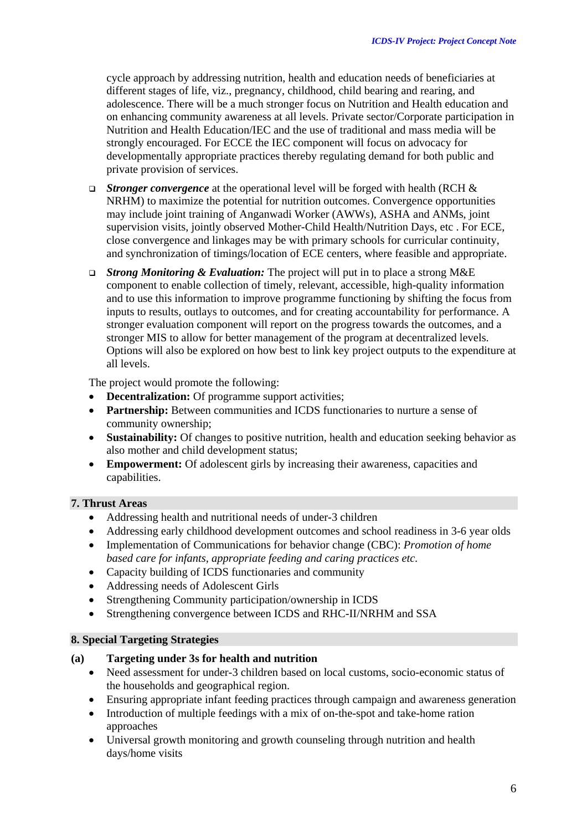cycle approach by addressing nutrition, health and education needs of beneficiaries at different stages of life, viz., pregnancy, childhood, child bearing and rearing, and adolescence. There will be a much stronger focus on Nutrition and Health education and on enhancing community awareness at all levels. Private sector/Corporate participation in Nutrition and Health Education/IEC and the use of traditional and mass media will be strongly encouraged. For ECCE the IEC component will focus on advocacy for developmentally appropriate practices thereby regulating demand for both public and private provision of services.

- *Stronger convergence* at the operational level will be forged with health (RCH & NRHM) to maximize the potential for nutrition outcomes. Convergence opportunities may include joint training of Anganwadi Worker (AWWs), ASHA and ANMs, joint supervision visits, jointly observed Mother-Child Health/Nutrition Days, etc . For ECE, close convergence and linkages may be with primary schools for curricular continuity, and synchronization of timings/location of ECE centers, where feasible and appropriate.
- *Strong Monitoring & Evaluation:* The project will put in to place a strong M&E component to enable collection of timely, relevant, accessible, high-quality information and to use this information to improve programme functioning by shifting the focus from inputs to results, outlays to outcomes, and for creating accountability for performance. A stronger evaluation component will report on the progress towards the outcomes, and a stronger MIS to allow for better management of the program at decentralized levels. Options will also be explored on how best to link key project outputs to the expenditure at all levels.

The project would promote the following:

- **Decentralization:** Of programme support activities;
- **Partnership:** Between communities and ICDS functionaries to nurture a sense of community ownership;
- **Sustainability:** Of changes to positive nutrition, health and education seeking behavior as also mother and child development status;
- **Empowerment:** Of adolescent girls by increasing their awareness, capacities and capabilities.

#### **7. Thrust Areas**

- Addressing health and nutritional needs of under-3 children
- Addressing early childhood development outcomes and school readiness in 3-6 year olds
- Implementation of Communications for behavior change (CBC): *Promotion of home based care for infants, appropriate feeding and caring practices etc.*
- Capacity building of ICDS functionaries and community
- Addressing needs of Adolescent Girls
- Strengthening Community participation/ownership in ICDS
- Strengthening convergence between ICDS and RHC-II/NRHM and SSA

## **8. Special Targeting Strategies**

#### **(a) Targeting under 3s for health and nutrition**

- Need assessment for under-3 children based on local customs, socio-economic status of the households and geographical region.
- Ensuring appropriate infant feeding practices through campaign and awareness generation
- Introduction of multiple feedings with a mix of on-the-spot and take-home ration approaches
- Universal growth monitoring and growth counseling through nutrition and health days/home visits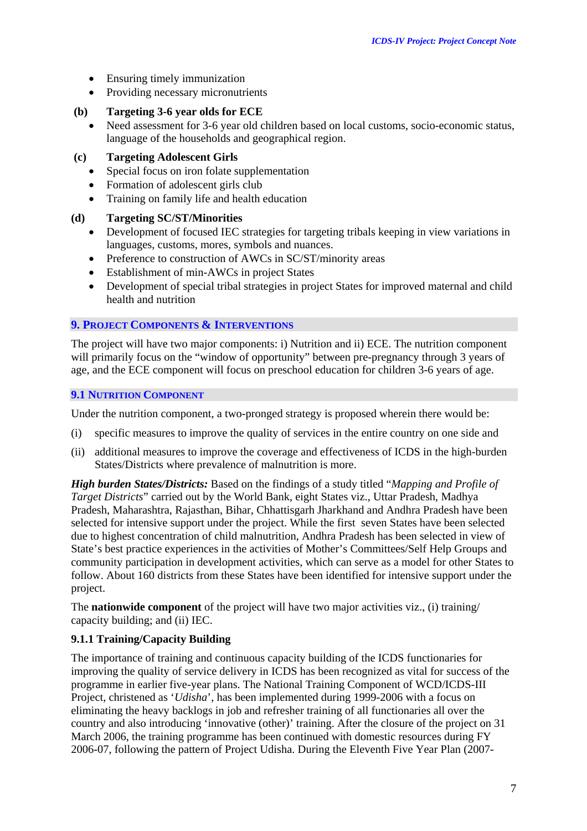- Ensuring timely immunization
- Providing necessary micronutrients

#### **(b) Targeting 3-6 year olds for ECE**

• Need assessment for 3-6 year old children based on local customs, socio-economic status, language of the households and geographical region.

## **(c) Targeting Adolescent Girls**

- Special focus on iron folate supplementation
- Formation of adolescent girls club
- Training on family life and health education

#### **(d) Targeting SC/ST/Minorities**

- Development of focused IEC strategies for targeting tribals keeping in view variations in languages, customs, mores, symbols and nuances.
- Preference to construction of AWCs in SC/ST/minority areas
- Establishment of min-AWCs in project States
- Development of special tribal strategies in project States for improved maternal and child health and nutrition

#### **9. PROJECT COMPONENTS & INTERVENTIONS**

The project will have two major components: i) Nutrition and ii) ECE. The nutrition component will primarily focus on the "window of opportunity" between pre-pregnancy through 3 years of age, and the ECE component will focus on preschool education for children 3-6 years of age.

#### **9.1 NUTRITION COMPONENT**

Under the nutrition component, a two-pronged strategy is proposed wherein there would be:

- (i) specific measures to improve the quality of services in the entire country on one side and
- (ii) additional measures to improve the coverage and effectiveness of ICDS in the high-burden States/Districts where prevalence of malnutrition is more.

*High burden States/Districts:* Based on the findings of a study titled "*Mapping and Profile of Target Districts*" carried out by the World Bank, eight States viz., Uttar Pradesh, Madhya Pradesh, Maharashtra, Rajasthan, Bihar, Chhattisgarh Jharkhand and Andhra Pradesh have been selected for intensive support under the project. While the first seven States have been selected due to highest concentration of child malnutrition, Andhra Pradesh has been selected in view of State's best practice experiences in the activities of Mother's Committees/Self Help Groups and community participation in development activities, which can serve as a model for other States to follow. About 160 districts from these States have been identified for intensive support under the project.

The **nationwide component** of the project will have two major activities viz., (i) training/ capacity building; and (ii) IEC.

## **9.1.1 Training/Capacity Building**

The importance of training and continuous capacity building of the ICDS functionaries for improving the quality of service delivery in ICDS has been recognized as vital for success of the programme in earlier five-year plans. The National Training Component of WCD/ICDS-III Project, christened as '*Udisha*', has been implemented during 1999-2006 with a focus on eliminating the heavy backlogs in job and refresher training of all functionaries all over the country and also introducing 'innovative (other)' training. After the closure of the project on 31 March 2006, the training programme has been continued with domestic resources during FY 2006-07, following the pattern of Project Udisha. During the Eleventh Five Year Plan (2007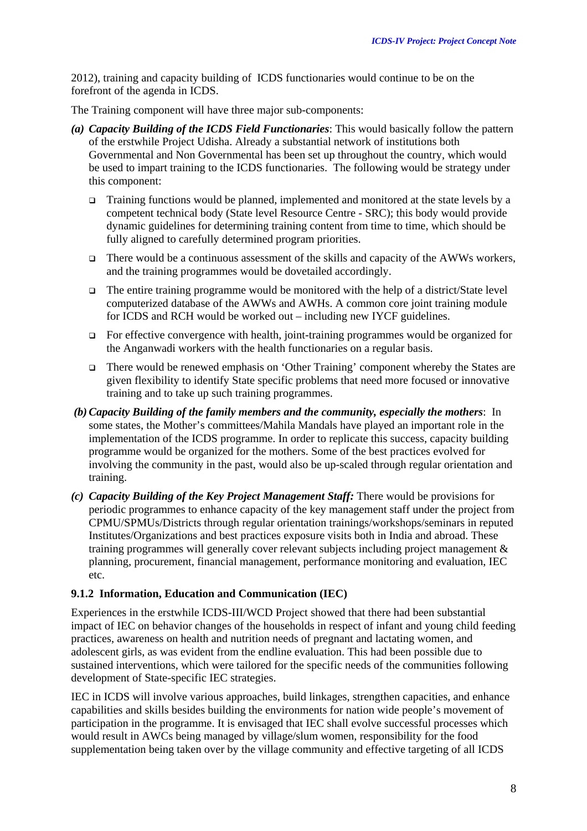2012), training and capacity building of ICDS functionaries would continue to be on the forefront of the agenda in ICDS.

The Training component will have three major sub-components:

- *(a) Capacity Building of the ICDS Field Functionaries*: This would basically follow the pattern of the erstwhile Project Udisha. Already a substantial network of institutions both Governmental and Non Governmental has been set up throughout the country, which would be used to impart training to the ICDS functionaries. The following would be strategy under this component:
	- $\Box$  Training functions would be planned, implemented and monitored at the state levels by a competent technical body (State level Resource Centre - SRC); this body would provide dynamic guidelines for determining training content from time to time, which should be fully aligned to carefully determined program priorities.
	- There would be a continuous assessment of the skills and capacity of the AWWs workers, and the training programmes would be dovetailed accordingly.
	- $\Box$  The entire training programme would be monitored with the help of a district/State level computerized database of the AWWs and AWHs. A common core joint training module for ICDS and RCH would be worked out – including new IYCF guidelines.
	- $\Box$  For effective convergence with health, joint-training programmes would be organized for the Anganwadi workers with the health functionaries on a regular basis.
	- There would be renewed emphasis on 'Other Training' component whereby the States are given flexibility to identify State specific problems that need more focused or innovative training and to take up such training programmes.
- *(b)Capacity Building of the family members and the community, especially the mothers*: In some states, the Mother's committees/Mahila Mandals have played an important role in the implementation of the ICDS programme. In order to replicate this success, capacity building programme would be organized for the mothers. Some of the best practices evolved for involving the community in the past, would also be up-scaled through regular orientation and training.
- *(c) Capacity Building of the Key Project Management Staff:* There would be provisions for periodic programmes to enhance capacity of the key management staff under the project from CPMU/SPMUs/Districts through regular orientation trainings/workshops/seminars in reputed Institutes/Organizations and best practices exposure visits both in India and abroad. These training programmes will generally cover relevant subjects including project management & planning, procurement, financial management, performance monitoring and evaluation, IEC etc.

## **9.1.2 Information, Education and Communication (IEC)**

Experiences in the erstwhile ICDS-III/WCD Project showed that there had been substantial impact of IEC on behavior changes of the households in respect of infant and young child feeding practices, awareness on health and nutrition needs of pregnant and lactating women, and adolescent girls, as was evident from the endline evaluation. This had been possible due to sustained interventions, which were tailored for the specific needs of the communities following development of State-specific IEC strategies.

IEC in ICDS will involve various approaches, build linkages, strengthen capacities, and enhance capabilities and skills besides building the environments for nation wide people's movement of participation in the programme. It is envisaged that IEC shall evolve successful processes which would result in AWCs being managed by village/slum women, responsibility for the food supplementation being taken over by the village community and effective targeting of all ICDS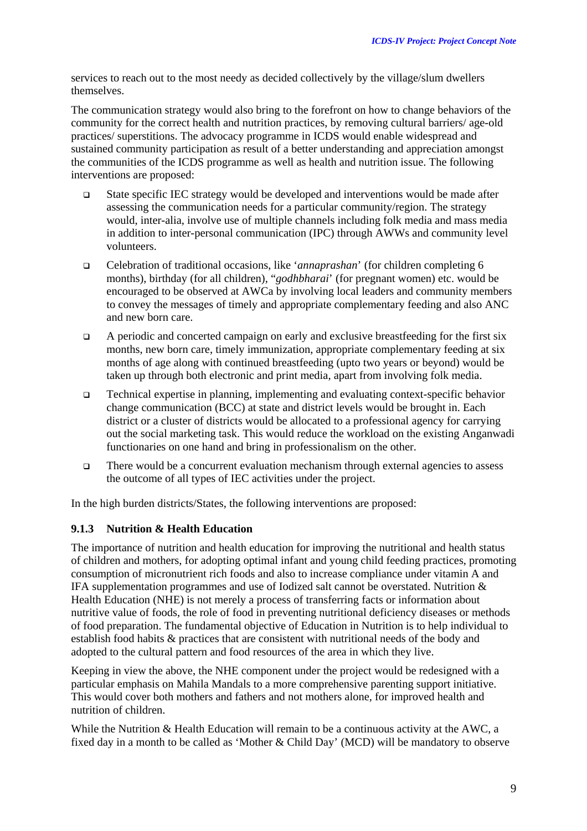services to reach out to the most needy as decided collectively by the village/slum dwellers themselves.

The communication strategy would also bring to the forefront on how to change behaviors of the community for the correct health and nutrition practices, by removing cultural barriers/ age-old practices/ superstitions. The advocacy programme in ICDS would enable widespread and sustained community participation as result of a better understanding and appreciation amongst the communities of the ICDS programme as well as health and nutrition issue. The following interventions are proposed:

- State specific IEC strategy would be developed and interventions would be made after assessing the communication needs for a particular community/region. The strategy would, inter-alia, involve use of multiple channels including folk media and mass media in addition to inter-personal communication (IPC) through AWWs and community level volunteers.
- Celebration of traditional occasions, like '*annaprashan*' (for children completing 6 months), birthday (for all children), "*godhbharai*' (for pregnant women) etc. would be encouraged to be observed at AWCa by involving local leaders and community members to convey the messages of timely and appropriate complementary feeding and also ANC and new born care.
- $\Box$  A periodic and concerted campaign on early and exclusive breastfeeding for the first six months, new born care, timely immunization, appropriate complementary feeding at six months of age along with continued breastfeeding (upto two years or beyond) would be taken up through both electronic and print media, apart from involving folk media.
- Technical expertise in planning, implementing and evaluating context-specific behavior change communication (BCC) at state and district levels would be brought in. Each district or a cluster of districts would be allocated to a professional agency for carrying out the social marketing task. This would reduce the workload on the existing Anganwadi functionaries on one hand and bring in professionalism on the other.
- There would be a concurrent evaluation mechanism through external agencies to assess the outcome of all types of IEC activities under the project.

In the high burden districts/States, the following interventions are proposed:

#### **9.1.3 Nutrition & Health Education**

The importance of nutrition and health education for improving the nutritional and health status of children and mothers, for adopting optimal infant and young child feeding practices, promoting consumption of micronutrient rich foods and also to increase compliance under vitamin A and IFA supplementation programmes and use of Iodized salt cannot be overstated. Nutrition  $\&$ Health Education (NHE) is not merely a process of transferring facts or information about nutritive value of foods, the role of food in preventing nutritional deficiency diseases or methods of food preparation. The fundamental objective of Education in Nutrition is to help individual to establish food habits & practices that are consistent with nutritional needs of the body and adopted to the cultural pattern and food resources of the area in which they live.

Keeping in view the above, the NHE component under the project would be redesigned with a particular emphasis on Mahila Mandals to a more comprehensive parenting support initiative. This would cover both mothers and fathers and not mothers alone, for improved health and nutrition of children.

While the Nutrition & Health Education will remain to be a continuous activity at the AWC, a fixed day in a month to be called as 'Mother & Child Day' (MCD) will be mandatory to observe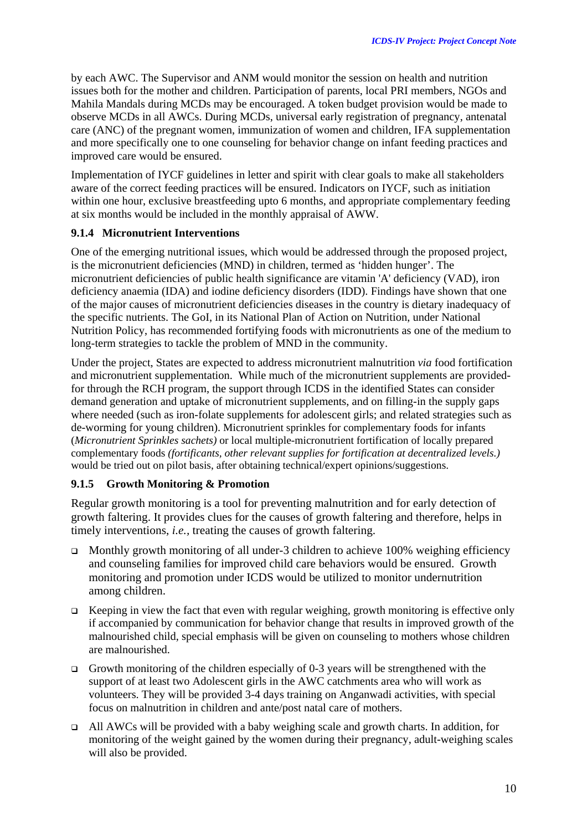by each AWC. The Supervisor and ANM would monitor the session on health and nutrition issues both for the mother and children. Participation of parents, local PRI members, NGOs and Mahila Mandals during MCDs may be encouraged. A token budget provision would be made to observe MCDs in all AWCs. During MCDs, universal early registration of pregnancy, antenatal care (ANC) of the pregnant women, immunization of women and children, IFA supplementation and more specifically one to one counseling for behavior change on infant feeding practices and improved care would be ensured.

Implementation of IYCF guidelines in letter and spirit with clear goals to make all stakeholders aware of the correct feeding practices will be ensured. Indicators on IYCF, such as initiation within one hour, exclusive breastfeeding upto 6 months, and appropriate complementary feeding at six months would be included in the monthly appraisal of AWW.

## **9.1.4 Micronutrient Interventions**

One of the emerging nutritional issues, which would be addressed through the proposed project, is the micronutrient deficiencies (MND) in children, termed as 'hidden hunger'. The micronutrient deficiencies of public health significance are vitamin 'A' deficiency (VAD), iron deficiency anaemia (IDA) and iodine deficiency disorders (IDD). Findings have shown that one of the major causes of micronutrient deficiencies diseases in the country is dietary inadequacy of the specific nutrients. The GoI, in its National Plan of Action on Nutrition, under National Nutrition Policy, has recommended fortifying foods with micronutrients as one of the medium to long-term strategies to tackle the problem of MND in the community.

Under the project, States are expected to address micronutrient malnutrition *via* food fortification and micronutrient supplementation. While much of the micronutrient supplements are providedfor through the RCH program, the support through ICDS in the identified States can consider demand generation and uptake of micronutrient supplements, and on filling-in the supply gaps where needed (such as iron-folate supplements for adolescent girls; and related strategies such as de-worming for young children). Micronutrient sprinkles for complementary foods for infants (*Micronutrient Sprinkles sachets)* or local multiple-micronutrient fortification of locally prepared complementary foods *(fortificants, other relevant supplies for fortification at decentralized levels.)*  would be tried out on pilot basis, after obtaining technical/expert opinions/suggestions.

## **9.1.5 Growth Monitoring & Promotion**

Regular growth monitoring is a tool for preventing malnutrition and for early detection of growth faltering. It provides clues for the causes of growth faltering and therefore, helps in timely interventions, *i.e.,* treating the causes of growth faltering.

- $\Box$  Monthly growth monitoring of all under-3 children to achieve 100% weighing efficiency and counseling families for improved child care behaviors would be ensured. Growth monitoring and promotion under ICDS would be utilized to monitor undernutrition among children.
- **Example 1** Keeping in view the fact that even with regular weighing, growth monitoring is effective only if accompanied by communication for behavior change that results in improved growth of the malnourished child, special emphasis will be given on counseling to mothers whose children are malnourished.
- Growth monitoring of the children especially of 0-3 years will be strengthened with the support of at least two Adolescent girls in the AWC catchments area who will work as volunteers. They will be provided 3-4 days training on Anganwadi activities, with special focus on malnutrition in children and ante/post natal care of mothers.
- All AWCs will be provided with a baby weighing scale and growth charts. In addition, for monitoring of the weight gained by the women during their pregnancy, adult-weighing scales will also be provided.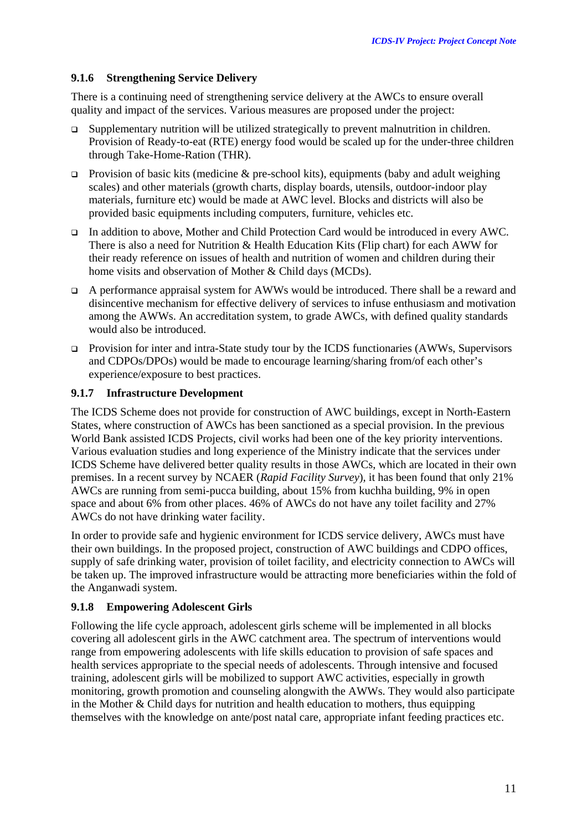## **9.1.6 Strengthening Service Delivery**

There is a continuing need of strengthening service delivery at the AWCs to ensure overall quality and impact of the services. Various measures are proposed under the project:

- Supplementary nutrition will be utilized strategically to prevent malnutrition in children. Provision of Ready-to-eat (RTE) energy food would be scaled up for the under-three children through Take-Home-Ration (THR).
- **Provision of basic kits (medicine & pre-school kits), equipments (baby and adult weighing** scales) and other materials (growth charts, display boards, utensils, outdoor-indoor play materials, furniture etc) would be made at AWC level. Blocks and districts will also be provided basic equipments including computers, furniture, vehicles etc.
- In addition to above, Mother and Child Protection Card would be introduced in every AWC. There is also a need for Nutrition & Health Education Kits (Flip chart) for each AWW for their ready reference on issues of health and nutrition of women and children during their home visits and observation of Mother & Child days (MCDs).
- A performance appraisal system for AWWs would be introduced. There shall be a reward and disincentive mechanism for effective delivery of services to infuse enthusiasm and motivation among the AWWs. An accreditation system, to grade AWCs, with defined quality standards would also be introduced.
- Provision for inter and intra-State study tour by the ICDS functionaries (AWWs, Supervisors and CDPOs/DPOs) would be made to encourage learning/sharing from/of each other's experience/exposure to best practices.

## **9.1.7 Infrastructure Development**

The ICDS Scheme does not provide for construction of AWC buildings, except in North-Eastern States, where construction of AWCs has been sanctioned as a special provision. In the previous World Bank assisted ICDS Projects, civil works had been one of the key priority interventions. Various evaluation studies and long experience of the Ministry indicate that the services under ICDS Scheme have delivered better quality results in those AWCs, which are located in their own premises. In a recent survey by NCAER (*Rapid Facility Survey*), it has been found that only 21% AWCs are running from semi-pucca building, about 15% from kuchha building, 9% in open space and about 6% from other places. 46% of AWCs do not have any toilet facility and 27% AWCs do not have drinking water facility.

In order to provide safe and hygienic environment for ICDS service delivery, AWCs must have their own buildings. In the proposed project, construction of AWC buildings and CDPO offices, supply of safe drinking water, provision of toilet facility, and electricity connection to AWCs will be taken up. The improved infrastructure would be attracting more beneficiaries within the fold of the Anganwadi system.

## **9.1.8 Empowering Adolescent Girls**

Following the life cycle approach, adolescent girls scheme will be implemented in all blocks covering all adolescent girls in the AWC catchment area. The spectrum of interventions would range from empowering adolescents with life skills education to provision of safe spaces and health services appropriate to the special needs of adolescents. Through intensive and focused training, adolescent girls will be mobilized to support AWC activities, especially in growth monitoring, growth promotion and counseling alongwith the AWWs. They would also participate in the Mother & Child days for nutrition and health education to mothers, thus equipping themselves with the knowledge on ante/post natal care, appropriate infant feeding practices etc.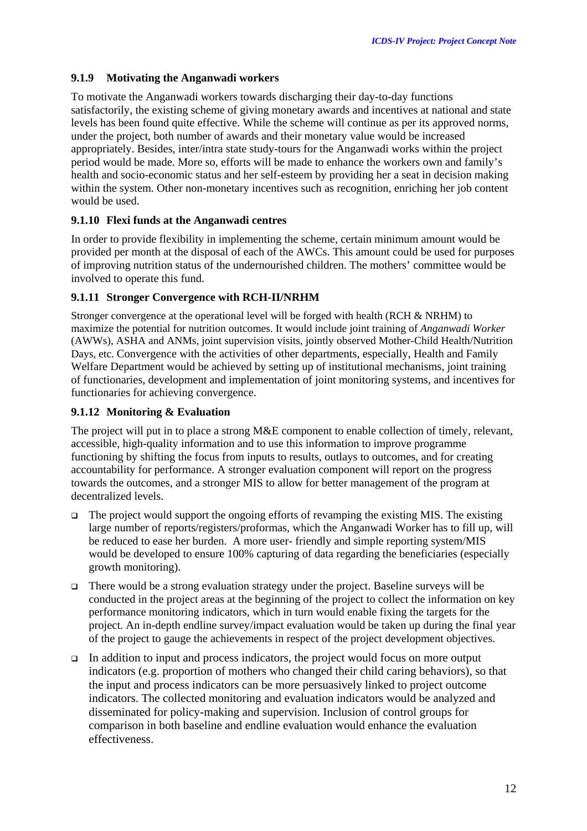## **9.1.9 Motivating the Anganwadi workers**

To motivate the Anganwadi workers towards discharging their day-to-day functions satisfactorily, the existing scheme of giving monetary awards and incentives at national and state levels has been found quite effective. While the scheme will continue as per its approved norms, under the project, both number of awards and their monetary value would be increased appropriately. Besides, inter/intra state study-tours for the Anganwadi works within the project period would be made. More so, efforts will be made to enhance the workers own and family's health and socio-economic status and her self-esteem by providing her a seat in decision making within the system. Other non-monetary incentives such as recognition, enriching her job content would be used.

## **9.1.10 Flexi funds at the Anganwadi centres**

In order to provide flexibility in implementing the scheme, certain minimum amount would be provided per month at the disposal of each of the AWCs. This amount could be used for purposes of improving nutrition status of the undernourished children. The mothers' committee would be involved to operate this fund.

## **9.1.11 Stronger Convergence with RCH-II/NRHM**

Stronger convergence at the operational level will be forged with health (RCH & NRHM) to maximize the potential for nutrition outcomes. It would include joint training of *Anganwadi Worker* (AWWs), ASHA and ANMs, joint supervision visits, jointly observed Mother-Child Health/Nutrition Days, etc. Convergence with the activities of other departments, especially, Health and Family Welfare Department would be achieved by setting up of institutional mechanisms, joint training of functionaries, development and implementation of joint monitoring systems, and incentives for functionaries for achieving convergence.

## **9.1.12 Monitoring & Evaluation**

The project will put in to place a strong M&E component to enable collection of timely, relevant, accessible, high-quality information and to use this information to improve programme functioning by shifting the focus from inputs to results, outlays to outcomes, and for creating accountability for performance. A stronger evaluation component will report on the progress towards the outcomes, and a stronger MIS to allow for better management of the program at decentralized levels.

- $\Box$  The project would support the ongoing efforts of revamping the existing MIS. The existing large number of reports/registers/proformas, which the Anganwadi Worker has to fill up, will be reduced to ease her burden. A more user- friendly and simple reporting system/MIS would be developed to ensure 100% capturing of data regarding the beneficiaries (especially growth monitoring).
- $\Box$  There would be a strong evaluation strategy under the project. Baseline surveys will be conducted in the project areas at the beginning of the project to collect the information on key performance monitoring indicators, which in turn would enable fixing the targets for the project. An in-depth endline survey/impact evaluation would be taken up during the final year of the project to gauge the achievements in respect of the project development objectives.
- In addition to input and process indicators, the project would focus on more output indicators (e.g. proportion of mothers who changed their child caring behaviors), so that the input and process indicators can be more persuasively linked to project outcome indicators. The collected monitoring and evaluation indicators would be analyzed and disseminated for policy-making and supervision. Inclusion of control groups for comparison in both baseline and endline evaluation would enhance the evaluation effectiveness.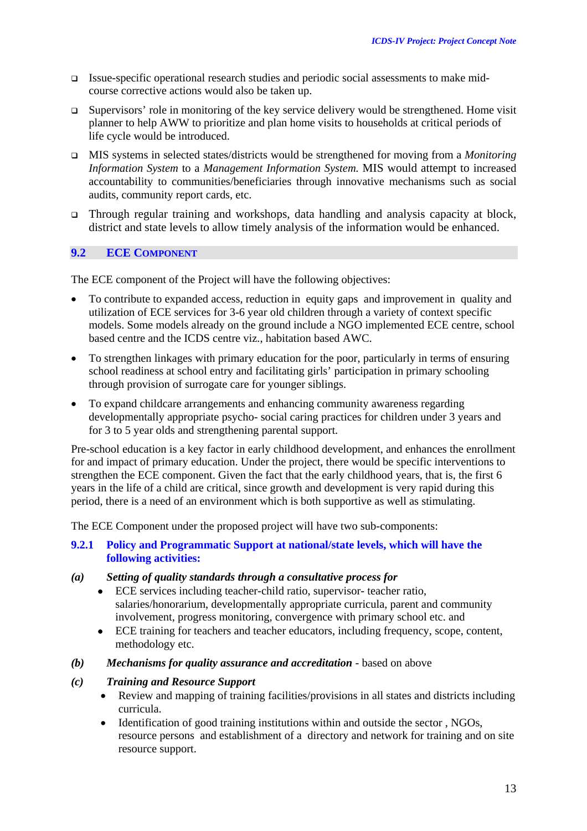- Issue-specific operational research studies and periodic social assessments to make midcourse corrective actions would also be taken up.
- $\Box$  Supervisors' role in monitoring of the key service delivery would be strengthened. Home visit planner to help AWW to prioritize and plan home visits to households at critical periods of life cycle would be introduced.
- MIS systems in selected states/districts would be strengthened for moving from a *Monitoring Information System* to a *Management Information System.* MIS would attempt to increased accountability to communities/beneficiaries through innovative mechanisms such as social audits, community report cards, etc.
- Through regular training and workshops, data handling and analysis capacity at block, district and state levels to allow timely analysis of the information would be enhanced.

#### **9.2 ECE COMPONENT**

The ECE component of the Project will have the following objectives:

- To contribute to expanded access, reduction in equity gaps and improvement in quality and utilization of ECE services for 3-6 year old children through a variety of context specific models. Some models already on the ground include a NGO implemented ECE centre, school based centre and the ICDS centre viz., habitation based AWC.
- To strengthen linkages with primary education for the poor, particularly in terms of ensuring school readiness at school entry and facilitating girls' participation in primary schooling through provision of surrogate care for younger siblings.
- To expand childcare arrangements and enhancing community awareness regarding developmentally appropriate psycho- social caring practices for children under 3 years and for 3 to 5 year olds and strengthening parental support.

Pre-school education is a key factor in early childhood development, and enhances the enrollment for and impact of primary education. Under the project, there would be specific interventions to strengthen the ECE component. Given the fact that the early childhood years, that is, the first 6 years in the life of a child are critical, since growth and development is very rapid during this period, there is a need of an environment which is both supportive as well as stimulating.

The ECE Component under the proposed project will have two sub-components:

#### **9.2.1 Policy and Programmatic Support at national/state levels, which will have the following activities:**

- *(a) Setting of quality standards through a consultative process for*
	- ECE services including teacher-child ratio, supervisor- teacher ratio, salaries/honorarium, developmentally appropriate curricula, parent and community involvement, progress monitoring, convergence with primary school etc. and
	- ECE training for teachers and teacher educators, including frequency, scope, content, methodology etc.
- *(b) Mechanisms for quality assurance and accreditation* based on above

#### *(c) Training and Resource Support*

- Review and mapping of training facilities/provisions in all states and districts including curricula.
- Identification of good training institutions within and outside the sector, NGOs, resource persons and establishment of a directory and network for training and on site resource support.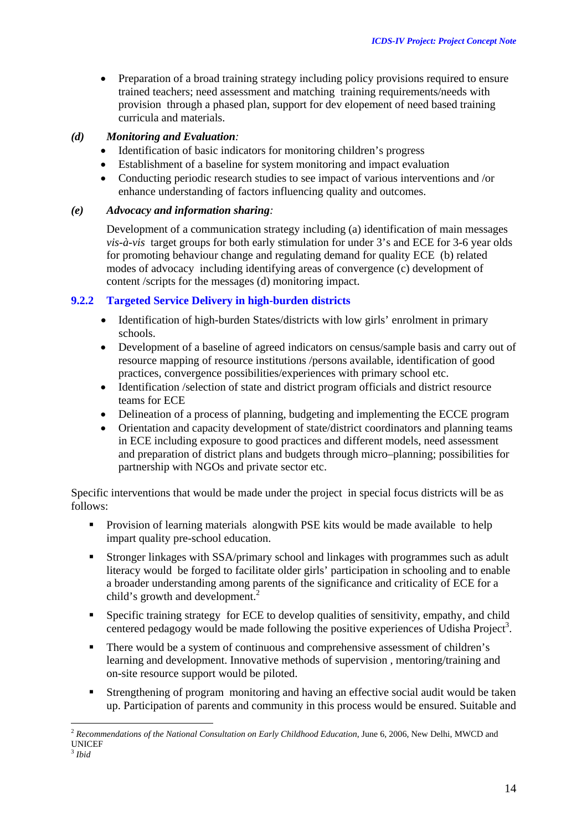• Preparation of a broad training strategy including policy provisions required to ensure trained teachers; need assessment and matching training requirements/needs with provision through a phased plan, support for dev elopement of need based training curricula and materials.

#### *(d) Monitoring and Evaluation:*

- Identification of basic indicators for monitoring children's progress
- Establishment of a baseline for system monitoring and impact evaluation
- Conducting periodic research studies to see impact of various interventions and /or enhance understanding of factors influencing quality and outcomes.

#### *(e) Advocacy and information sharing:*

Development of a communication strategy including (a) identification of main messages *vis-à-vis* target groups for both early stimulation for under 3's and ECE for 3-6 year olds for promoting behaviour change and regulating demand for quality ECE (b) related modes of advocacy including identifying areas of convergence (c) development of content /scripts for the messages (d) monitoring impact.

#### **9.2.2 Targeted Service Delivery in high-burden districts**

- Identification of high-burden States/districts with low girls' enrolment in primary schools.
- Development of a baseline of agreed indicators on census/sample basis and carry out of resource mapping of resource institutions /persons available, identification of good practices, convergence possibilities/experiences with primary school etc.
- Identification /selection of state and district program officials and district resource teams for ECE
- Delineation of a process of planning, budgeting and implementing the ECCE program
- Orientation and capacity development of state/district coordinators and planning teams in ECE including exposure to good practices and different models, need assessment and preparation of district plans and budgets through micro–planning; possibilities for partnership with NGOs and private sector etc.

Specific interventions that would be made under the project in special focus districts will be as follows:

- Provision of learning materials alongwith PSE kits would be made available to help impart quality pre-school education.
- Stronger linkages with SSA/primary school and linkages with programmes such as adult literacy would be forged to facilitate older girls' participation in schooling and to enable a broader understanding among parents of the significance and criticality of ECE for a child's growth and development.<sup>[2](#page-15-0)</sup>
- Specific training strategy for ECE to develop qualities of sensitivity, empathy, and child centered pedagogy would be made following the positive experiences of Udisha Project<sup>3</sup>.
- There would be a system of continuous and comprehensive assessment of children's learning and development. Innovative methods of supervision , mentoring/training and on-site resource support would be piloted.
- Strengthening of program monitoring and having an effective social audit would be taken up. Participation of parents and community in this process would be ensured. Suitable and

 $\overline{a}$ 

<span id="page-15-0"></span><sup>&</sup>lt;sup>2</sup> Recommendations of the National Consultation on Early Childhood Education, June 6, 2006, New Delhi, MWCD and UNICEF

<span id="page-15-1"></span><sup>3</sup> *Ibid*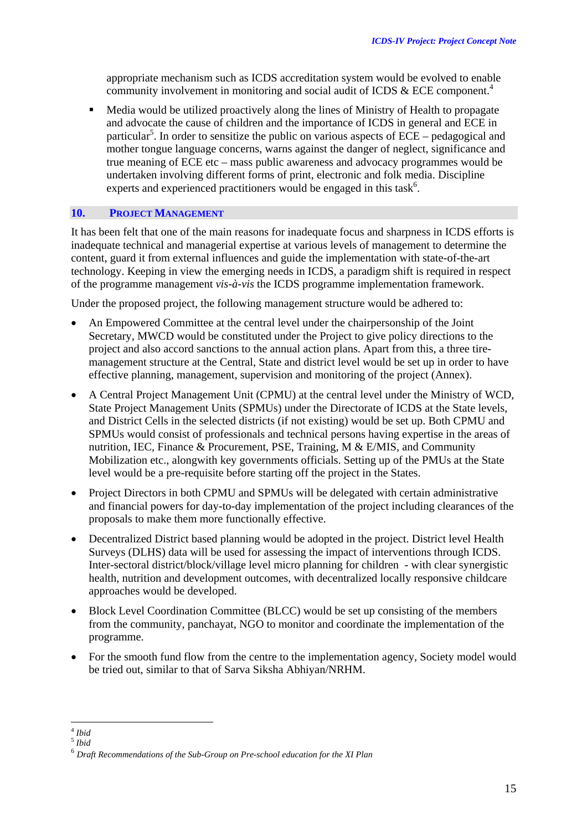appropriate mechanism such as ICDS accreditation system would be evolved to enable community involvement in monitoring and social audit of ICDS  $\&$  ECE component.<sup>[4](#page-16-0)</sup>

 Media would be utilized proactively along the lines of Ministry of Health to propagate and advocate the cause of children and the importance of ICDS in general and ECE in particular<sup>5</sup>[.](#page-16-1) In order to sensitize the public on various aspects of  $ECE -$  pedagogical and mother tongue language concerns, warns against the danger of neglect, significance and true meaning of ECE etc – mass public awareness and advocacy programmes would be undertaken involving different forms of print, electronic and folk media. Discipline experts and experienced practitioners would be engaged in this task<sup>6</sup>.

#### **10. PROJECT MANAGEMENT**

It has been felt that one of the main reasons for inadequate focus and sharpness in ICDS efforts is inadequate technical and managerial expertise at various levels of management to determine the content, guard it from external influences and guide the implementation with state-of-the-art technology. Keeping in view the emerging needs in ICDS, a paradigm shift is required in respect of the programme management *vis-à-vis* the ICDS programme implementation framework.

Under the proposed project, the following management structure would be adhered to:

- An Empowered Committee at the central level under the chairpersonship of the Joint Secretary, MWCD would be constituted under the Project to give policy directions to the project and also accord sanctions to the annual action plans. Apart from this, a three tiremanagement structure at the Central, State and district level would be set up in order to have effective planning, management, supervision and monitoring of the project (Annex).
- A Central Project Management Unit (CPMU) at the central level under the Ministry of WCD, State Project Management Units (SPMUs) under the Directorate of ICDS at the State levels, and District Cells in the selected districts (if not existing) would be set up. Both CPMU and SPMUs would consist of professionals and technical persons having expertise in the areas of nutrition, IEC, Finance & Procurement, PSE, Training, M & E/MIS, and Community Mobilization etc., alongwith key governments officials. Setting up of the PMUs at the State level would be a pre-requisite before starting off the project in the States.
- Project Directors in both CPMU and SPMUs will be delegated with certain administrative and financial powers for day-to-day implementation of the project including clearances of the proposals to make them more functionally effective.
- Decentralized District based planning would be adopted in the project. District level Health Surveys (DLHS) data will be used for assessing the impact of interventions through ICDS. Inter-sectoral district/block/village level micro planning for children - with clear synergistic health, nutrition and development outcomes, with decentralized locally responsive childcare approaches would be developed.
- Block Level Coordination Committee (BLCC) would be set up consisting of the members from the community, panchayat, NGO to monitor and coordinate the implementation of the programme.
- For the smooth fund flow from the centre to the implementation agency, Society model would be tried out, similar to that of Sarva Siksha Abhiyan/NRHM.

 $\overline{a}$ <sup>4</sup> *Ibid* 

<span id="page-16-1"></span><span id="page-16-0"></span><sup>5</sup> *Ibid* 

<span id="page-16-2"></span><sup>6</sup> *Draft Recommendations of the Sub-Group on Pre-school education for the XI Plan*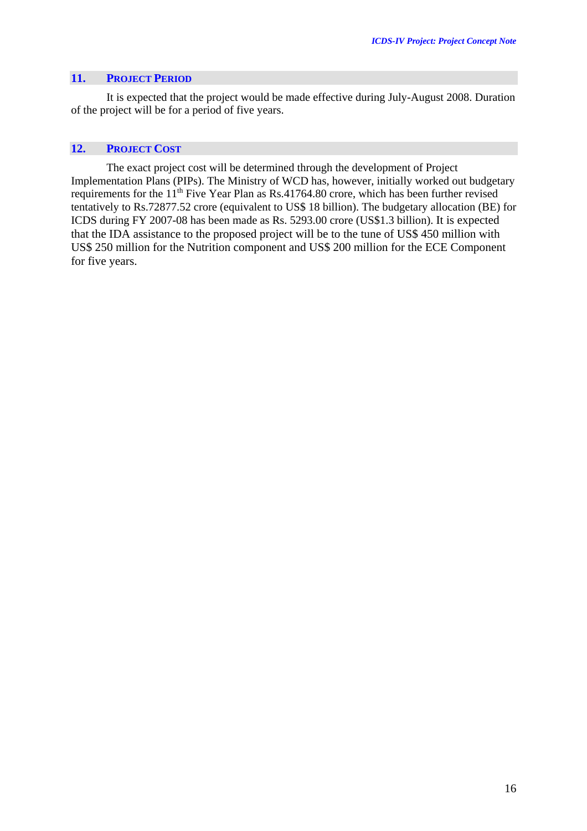#### **11. PROJECT PERIOD**

It is expected that the project would be made effective during July-August 2008. Duration of the project will be for a period of five years.

### **12. PROJECT COST**

The exact project cost will be determined through the development of Project Implementation Plans (PIPs). The Ministry of WCD has, however, initially worked out budgetary requirements for the 11<sup>th</sup> Five Year Plan as Rs.41764.80 crore, which has been further revised tentatively to Rs.72877.52 crore (equivalent to US\$ 18 billion). The budgetary allocation (BE) for ICDS during FY 2007-08 has been made as Rs. 5293.00 crore (US\$1.3 billion). It is expected that the IDA assistance to the proposed project will be to the tune of US\$ 450 million with US\$ 250 million for the Nutrition component and US\$ 200 million for the ECE Component for five years.